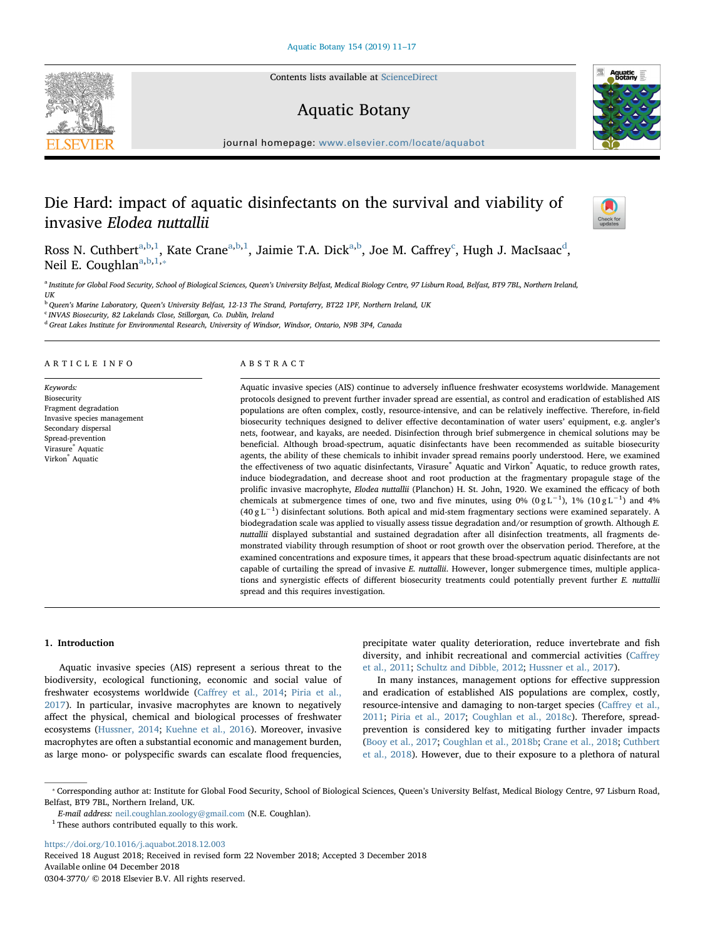Contents lists available at [ScienceDirect](http://www.sciencedirect.com/science/journal/03043770)

# Aquatic Botany



journal homepage: [www.elsevier.com/locate/aquabot](https://www.elsevier.com/locate/aquabot)

# Die Hard: impact of aquatic disinfectants on the survival and viability of invasive Elodea nuttallii



Ross N. Cuthbert<sup>[a](#page-0-0),[b](#page-0-1)[,1](#page-0-2)</sup>, Kate Crane<sup>[a,](#page-0-0)b,[1](#page-0-2)</sup>, Jaimie T.A. Dick<sup>a[,b](#page-0-1)</sup>, Joe M. Caffrey<sup>[c](#page-0-3)</sup>, Hugh J. MacIsaac<sup>[d](#page-0-4)</sup>, Neil E. Coughl[a](#page-0-0)n<sup>a,[b](#page-0-1)[,1,](#page-0-2)\*</sup>

<span id="page-0-0"></span>a Institute for Global Food Security, School of Biological Sciences, Queen's University Belfast, Medical Biology Centre, 97 Lisburn Road, Belfast, BT9 7BL, Northern Ireland, **IIK** 

<span id="page-0-1"></span><sup>b</sup> Queen's Marine Laboratory, Queen's University Belfast, 12-13 The Strand, Portaferry, BT22 1PF, Northern Ireland, UK

<span id="page-0-3"></span><sup>c</sup> INVAS Biosecurity, 82 Lakelands Close, Stillorgan, Co. Dublin, Ireland

<span id="page-0-4"></span><sup>d</sup> Great Lakes Institute for Environmental Research, University of Windsor, Windsor, Ontario, N9B 3P4, Canada

## ARTICLE INFO

Keywords: Biosecurity Fragment degradation Invasive species management Secondary dispersal Spread-prevention Virasure® Aquatic Virkon® Aquatic

# ABSTRACT

Aquatic invasive species (AIS) continue to adversely influence freshwater ecosystems worldwide. Management protocols designed to prevent further invader spread are essential, as control and eradication of established AIS populations are often complex, costly, resource-intensive, and can be relatively ineffective. Therefore, in-field biosecurity techniques designed to deliver effective decontamination of water users' equipment, e.g. angler's nets, footwear, and kayaks, are needed. Disinfection through brief submergence in chemical solutions may be beneficial. Although broad-spectrum, aquatic disinfectants have been recommended as suitable biosecurity agents, the ability of these chemicals to inhibit invader spread remains poorly understood. Here, we examined the effectiveness of two aquatic disinfectants, Virasure® Aquatic and Virkon® Aquatic, to reduce growth rates, induce biodegradation, and decrease shoot and root production at the fragmentary propagule stage of the prolific invasive macrophyte, Elodea nuttallii (Planchon) H. St. John, 1920. We examined the efficacy of both chemicals at submergence times of one, two and five minutes, using 0%  $(0gL^{-1})$ , 1%  $(10gL^{-1})$  and 4% (40 g L−<sup>1</sup> ) disinfectant solutions. Both apical and mid-stem fragmentary sections were examined separately. A biodegradation scale was applied to visually assess tissue degradation and/or resumption of growth. Although E. nuttallii displayed substantial and sustained degradation after all disinfection treatments, all fragments demonstrated viability through resumption of shoot or root growth over the observation period. Therefore, at the examined concentrations and exposure times, it appears that these broad-spectrum aquatic disinfectants are not capable of curtailing the spread of invasive E. nuttallii. However, longer submergence times, multiple applications and synergistic effects of different biosecurity treatments could potentially prevent further E. nuttallii spread and this requires investigation.

#### 1. Introduction

Aquatic invasive species (AIS) represent a serious threat to the biodiversity, ecological functioning, economic and social value of freshwater ecosystems worldwide (Caff[rey et al., 2014](#page-5-0); [Piria et al.,](#page-6-0) [2017\)](#page-6-0). In particular, invasive macrophytes are known to negatively affect the physical, chemical and biological processes of freshwater ecosystems ([Hussner, 2014;](#page-5-1) [Kuehne et al., 2016\)](#page-6-1). Moreover, invasive macrophytes are often a substantial economic and management burden, as large mono- or polyspecific swards can escalate flood frequencies,

precipitate water quality deterioration, reduce invertebrate and fish diversity, and inhibit recreational and commercial activities (Caff[rey](#page-5-2) [et al., 2011](#page-5-2); [Schultz and Dibble, 2012](#page-6-2); [Hussner et al., 2017\)](#page-5-3).

In many instances, management options for effective suppression and eradication of established AIS populations are complex, costly, resource-intensive and damaging to non-target species (Caff[rey et al.,](#page-5-2) [2011;](#page-5-2) [Piria et al., 2017](#page-6-0); [Coughlan et al., 2018c\)](#page-5-4). Therefore, spreadprevention is considered key to mitigating further invader impacts ([Booy et al., 2017;](#page-5-5) [Coughlan et al., 2018b;](#page-5-6) [Crane et al., 2018](#page-5-7); [Cuthbert](#page-5-8) [et al., 2018\)](#page-5-8). However, due to their exposure to a plethora of natural

<https://doi.org/10.1016/j.aquabot.2018.12.003>

Received 18 August 2018; Received in revised form 22 November 2018; Accepted 3 December 2018 Available online 04 December 2018 0304-3770/ © 2018 Elsevier B.V. All rights reserved.

<span id="page-0-5"></span><sup>⁎</sup> Corresponding author at: Institute for Global Food Security, School of Biological Sciences, Queen's University Belfast, Medical Biology Centre, 97 Lisburn Road, Belfast, BT9 7BL, Northern Ireland, UK.

E-mail address: [neil.coughlan.zoology@gmail.com](mailto:neil.coughlan.zoology@gmail.com) (N.E. Coughlan).

<span id="page-0-2"></span> $^{\rm 1}$  These authors contributed equally to this work.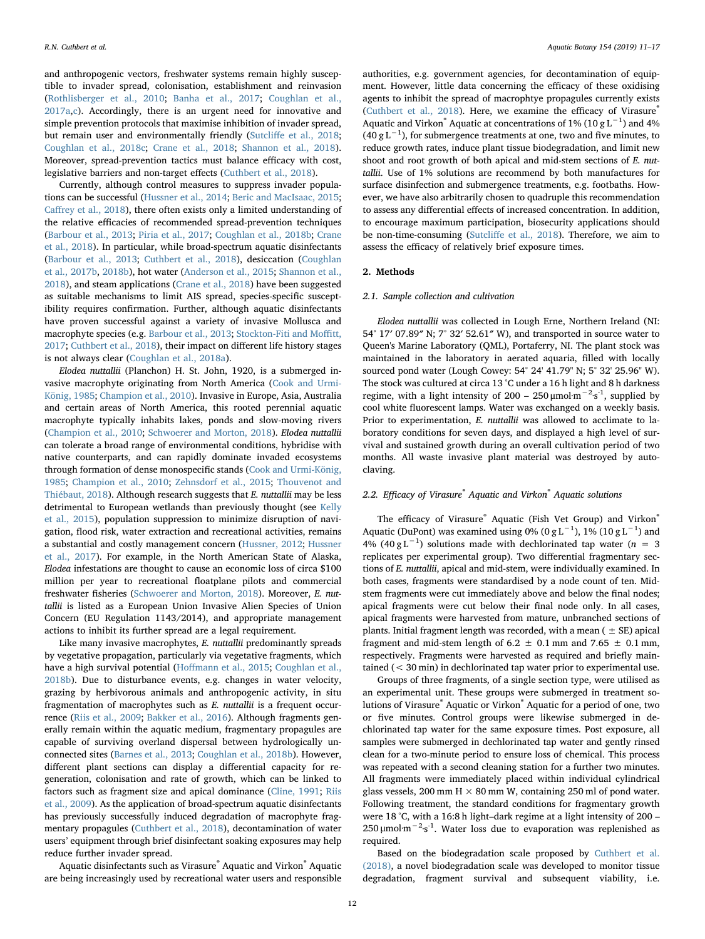and anthropogenic vectors, freshwater systems remain highly susceptible to invader spread, colonisation, establishment and reinvasion ([Rothlisberger et al., 2010](#page-6-3); [Banha et al., 2017;](#page-5-9) [Coughlan et al.,](#page-5-10) [2017a,](#page-5-10)[c\)](#page-5-11). Accordingly, there is an urgent need for innovative and simple prevention protocols that maximise inhibition of invader spread, but remain user and environmentally friendly (Sutcliff[e et al., 2018](#page-6-4); [Coughlan et al., 2018c](#page-5-4); [Crane et al., 2018](#page-5-7); [Shannon et al., 2018](#page-6-5)). Moreover, spread-prevention tactics must balance efficacy with cost, legislative barriers and non-target effects [\(Cuthbert et al., 2018\)](#page-5-8).

Currently, although control measures to suppress invader populations can be successful ([Hussner et al., 2014](#page-5-12); [Beric and MacIsaac, 2015](#page-5-13); Caff[rey et al., 2018\)](#page-5-14), there often exists only a limited understanding of the relative efficacies of recommended spread-prevention techniques ([Barbour et al., 2013](#page-5-15); [Piria et al., 2017](#page-6-0); [Coughlan et al., 2018b](#page-5-6); [Crane](#page-5-7) [et al., 2018](#page-5-7)). In particular, while broad-spectrum aquatic disinfectants ([Barbour et al., 2013;](#page-5-15) [Cuthbert et al., 2018\)](#page-5-8), desiccation [\(Coughlan](#page-5-16) [et al., 2017b](#page-5-16), [2018b\)](#page-5-6), hot water ([Anderson et al., 2015](#page-5-17); [Shannon et al.,](#page-6-5) [2018\)](#page-6-5), and steam applications ([Crane et al., 2018](#page-5-7)) have been suggested as suitable mechanisms to limit AIS spread, species-specific susceptibility requires confirmation. Further, although aquatic disinfectants have proven successful against a variety of invasive Mollusca and macrophyte species (e.g. [Barbour et al., 2013;](#page-5-15) [Stockton-Fiti and Mo](#page-6-6)ffitt, [2017;](#page-6-6) [Cuthbert et al., 2018](#page-5-8)), their impact on different life history stages is not always clear ([Coughlan et al., 2018a\)](#page-5-18).

Elodea nuttallii (Planchon) H. St. John, 1920, is a submerged invasive macrophyte originating from North America [\(Cook and Urmi-](#page-5-19)[König, 1985](#page-5-19); [Champion et al., 2010\)](#page-5-20). Invasive in Europe, Asia, Australia and certain areas of North America, this rooted perennial aquatic macrophyte typically inhabits lakes, ponds and slow-moving rivers ([Champion et al., 2010](#page-5-20); [Schwoerer and Morton, 2018\)](#page-6-7). Elodea nuttallii can tolerate a broad range of environmental conditions, hybridise with native counterparts, and can rapidly dominate invaded ecosystems through formation of dense monospecific stands ([Cook and Urmi-König,](#page-5-19) [1985;](#page-5-19) [Champion et al., 2010;](#page-5-20) [Zehnsdorf et al., 2015;](#page-6-8) [Thouvenot and](#page-6-9) [Thiébaut, 2018](#page-6-9)). Although research suggests that E. nuttallii may be less detrimental to European wetlands than previously thought (see [Kelly](#page-5-21) [et al., 2015\)](#page-5-21), population suppression to minimize disruption of navigation, flood risk, water extraction and recreational activities, remains a substantial and costly management concern ([Hussner, 2012;](#page-5-22) [Hussner](#page-5-3) [et al., 2017](#page-5-3)). For example, in the North American State of Alaska, Elodea infestations are thought to cause an economic loss of circa \$100 million per year to recreational floatplane pilots and commercial freshwater fisheries [\(Schwoerer and Morton, 2018](#page-6-7)). Moreover, E. nuttallii is listed as a European Union Invasive Alien Species of Union Concern (EU Regulation 1143/2014), and appropriate management actions to inhibit its further spread are a legal requirement.

Like many invasive macrophytes, E. nuttallii predominantly spreads by vegetative propagation, particularly via vegetative fragments, which have a high survival potential (Hoff[mann et al., 2015;](#page-5-23) [Coughlan et al.,](#page-5-6) [2018b\)](#page-5-6). Due to disturbance events, e.g. changes in water velocity, grazing by herbivorous animals and anthropogenic activity, in situ fragmentation of macrophytes such as E. nuttallii is a frequent occurrence ([Riis et al., 2009](#page-6-10); [Bakker et al., 2016](#page-5-24)). Although fragments generally remain within the aquatic medium, fragmentary propagules are capable of surviving overland dispersal between hydrologically unconnected sites [\(Barnes et al., 2013](#page-5-25); [Coughlan et al., 2018b](#page-5-6)). However, different plant sections can display a differential capacity for regeneration, colonisation and rate of growth, which can be linked to factors such as fragment size and apical dominance ([Cline, 1991](#page-5-26); [Riis](#page-6-10) [et al., 2009](#page-6-10)). As the application of broad-spectrum aquatic disinfectants has previously successfully induced degradation of macrophyte fragmentary propagules ([Cuthbert et al., 2018\)](#page-5-8), decontamination of water users' equipment through brief disinfectant soaking exposures may help reduce further invader spread.

Aquatic disinfectants such as Virasure® Aquatic and Virkon® Aquatic are being increasingly used by recreational water users and responsible authorities, e.g. government agencies, for decontamination of equipment. However, little data concerning the efficacy of these oxidising agents to inhibit the spread of macrophtye propagules currently exists ([Cuthbert et al., 2018\)](#page-5-8). Here, we examine the efficacy of Virasure® Aquatic and Virkon® Aquatic at concentrations of 1% (10 g  $L^{-1}$ ) and 4% (40 g L<sup>-1</sup>), for submergence treatments at one, two and five minutes, to reduce growth rates, induce plant tissue biodegradation, and limit new shoot and root growth of both apical and mid-stem sections of E. nuttallii. Use of 1% solutions are recommend by both manufactures for surface disinfection and submergence treatments, e.g. footbaths. However, we have also arbitrarily chosen to quadruple this recommendation to assess any differential effects of increased concentration. In addition, to encourage maximum participation, biosecurity applications should be non-time-consuming (Sutcliff[e et al., 2018\)](#page-6-4). Therefore, we aim to assess the efficacy of relatively brief exposure times.

# 2. Methods

#### 2.1. Sample collection and cultivation

Elodea nuttallii was collected in Lough Erne, Northern Ireland (NI: 54° 17′ 07.89″ N; 7° 32′ 52.61″ W), and transported in source water to Queen's Marine Laboratory (QML), Portaferry, NI. The plant stock was maintained in the laboratory in aerated aquaria, filled with locally sourced pond water (Lough Cowey: 54° 24' 41.79" N; 5° 32' 25.96" W). The stock was cultured at circa 13 °C under a 16 h light and 8 h darkness regime, with a light intensity of 200 – 250  $\mu$ mol·m<sup>-2</sup>·s<sup>-1</sup>, supplied by cool white fluorescent lamps. Water was exchanged on a weekly basis. Prior to experimentation, E. nuttallii was allowed to acclimate to laboratory conditions for seven days, and displayed a high level of survival and sustained growth during an overall cultivation period of two months. All waste invasive plant material was destroyed by autoclaving.

### 2.2. Efficacy of Virasure® Aquatic and Virkon® Aquatic solutions

The efficacy of Virasure® Aquatic (Fish Vet Group) and Virkon® Aquatic (DuPont) was examined using 0% (0 g L<sup>-1</sup>), 1% (10 g L<sup>-1</sup>) and 4% (40 g L<sup>-1</sup>) solutions made with dechlorinated tap water ( $n = 3$ replicates per experimental group). Two differential fragmentary sections of E. nuttallii, apical and mid-stem, were individually examined. In both cases, fragments were standardised by a node count of ten. Midstem fragments were cut immediately above and below the final nodes; apical fragments were cut below their final node only. In all cases, apical fragments were harvested from mature, unbranched sections of plants. Initial fragment length was recorded, with a mean ( $\pm$  SE) apical fragment and mid-stem length of  $6.2 \pm 0.1$  mm and  $7.65 \pm 0.1$  mm, respectively. Fragments were harvested as required and briefly maintained (< 30 min) in dechlorinated tap water prior to experimental use.

Groups of three fragments, of a single section type, were utilised as an experimental unit. These groups were submerged in treatment solutions of Virasure® Aquatic or Virkon® Aquatic for a period of one, two or five minutes. Control groups were likewise submerged in dechlorinated tap water for the same exposure times. Post exposure, all samples were submerged in dechlorinated tap water and gently rinsed clean for a two-minute period to ensure loss of chemical. This process was repeated with a second cleaning station for a further two minutes. All fragments were immediately placed within individual cylindrical glass vessels, 200 mm H  $\times$  80 mm W, containing 250 ml of pond water. Following treatment, the standard conditions for fragmentary growth were 18 °C, with a 16:8 h light–dark regime at a light intensity of 200 – 250 μmol·m<sup>-2</sup>·s<sup>-1</sup>. Water loss due to evaporation was replenished as required.

Based on the biodegradation scale proposed by [Cuthbert et al.](#page-5-8) [\(2018\),](#page-5-8) a novel biodegradation scale was developed to monitor tissue degradation, fragment survival and subsequent viability, i.e.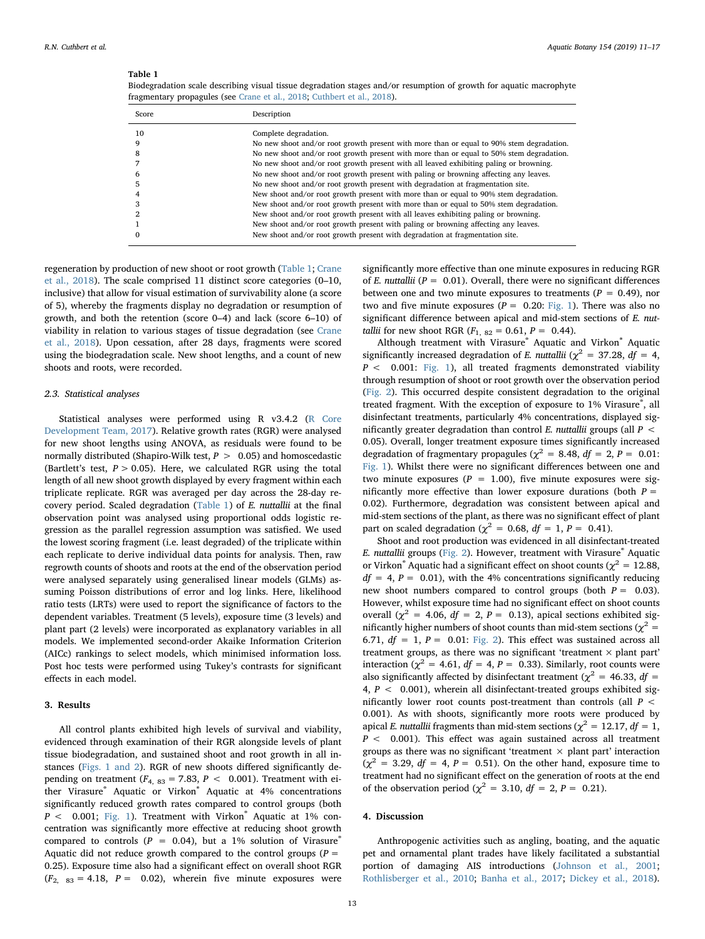# <span id="page-2-0"></span>Table 1

Biodegradation scale describing visual tissue degradation stages and/or resumption of growth for aquatic macrophyte fragmentary propagules (see [Crane et al., 2018](#page-5-7); [Cuthbert et al., 2018\)](#page-5-8).

| Score | Description                                                                              |
|-------|------------------------------------------------------------------------------------------|
| 10    | Complete degradation.                                                                    |
|       | No new shoot and/or root growth present with more than or equal to 90% stem degradation. |
| 8     | No new shoot and/or root growth present with more than or equal to 50% stem degradation. |
|       | No new shoot and/or root growth present with all leaved exhibiting paling or browning.   |
|       | No new shoot and/or root growth present with paling or browning affecting any leaves.    |
|       | No new shoot and/or root growth present with degradation at fragmentation site.          |
|       | New shoot and/or root growth present with more than or equal to 90% stem degradation.    |
|       | New shoot and/or root growth present with more than or equal to 50% stem degradation.    |
|       | New shoot and/or root growth present with all leaves exhibiting paling or browning.      |
|       | New shoot and/or root growth present with paling or browning affecting any leaves.       |
|       | New shoot and/or root growth present with degradation at fragmentation site.             |

regeneration by production of new shoot or root growth ([Table 1;](#page-2-0) [Crane](#page-5-7) [et al., 2018](#page-5-7)). The scale comprised 11 distinct score categories (0–10, inclusive) that allow for visual estimation of survivability alone (a score of 5), whereby the fragments display no degradation or resumption of growth, and both the retention (score 0–4) and lack (score 6–10) of viability in relation to various stages of tissue degradation (see [Crane](#page-5-7) [et al., 2018\)](#page-5-7). Upon cessation, after 28 days, fragments were scored using the biodegradation scale. New shoot lengths, and a count of new shoots and roots, were recorded.

## 2.3. Statistical analyses

Statistical analyses were performed using R v3.4.2 ([R Core](#page-6-11) [Development Team, 2017\)](#page-6-11). Relative growth rates (RGR) were analysed for new shoot lengths using ANOVA, as residuals were found to be normally distributed (Shapiro-Wilk test,  $P > 0.05$ ) and homoscedastic (Bartlett's test,  $P > 0.05$ ). Here, we calculated RGR using the total length of all new shoot growth displayed by every fragment within each triplicate replicate. RGR was averaged per day across the 28-day recovery period. Scaled degradation ([Table 1\)](#page-2-0) of E. nuttallii at the final observation point was analysed using proportional odds logistic regression as the parallel regression assumption was satisfied. We used the lowest scoring fragment (i.e. least degraded) of the triplicate within each replicate to derive individual data points for analysis. Then, raw regrowth counts of shoots and roots at the end of the observation period were analysed separately using generalised linear models (GLMs) assuming Poisson distributions of error and log links. Here, likelihood ratio tests (LRTs) were used to report the significance of factors to the dependent variables. Treatment (5 levels), exposure time (3 levels) and plant part (2 levels) were incorporated as explanatory variables in all models. We implemented second-order Akaike Information Criterion (AICc) rankings to select models, which minimised information loss. Post hoc tests were performed using Tukey's contrasts for significant effects in each model.

### 3. Results

All control plants exhibited high levels of survival and viability, evidenced through examination of their RGR alongside levels of plant tissue biodegradation, and sustained shoot and root growth in all instances [\(Figs. 1 and 2\)](#page-3-0). RGR of new shoots differed significantly depending on treatment ( $F_{4, 83} = 7.83, P < 0.001$ ). Treatment with either Virasure® Aquatic or Virkon® Aquatic at 4% concentrations significantly reduced growth rates compared to control groups (both  $P < 0.001$ ; [Fig. 1\)](#page-3-0). Treatment with Virkon<sup>®</sup> Aquatic at 1% concentration was significantly more effective at reducing shoot growth compared to controls ( $P = 0.04$ ), but a 1% solution of Virasure® Aquatic did not reduce growth compared to the control groups ( $P =$ 0.25). Exposure time also had a significant effect on overall shoot RGR  $(F<sub>2</sub>, 83 = 4.18, P = 0.02)$ , wherein five minute exposures were

significantly more effective than one minute exposures in reducing RGR of E. nuttallii ( $P = 0.01$ ). Overall, there were no significant differences between one and two minute exposures to treatments ( $P = 0.49$ ), nor two and five minute exposures ( $P = 0.20$ : [Fig. 1\)](#page-3-0). There was also no significant difference between apical and mid-stem sections of E. nuttallii for new shoot RGR  $(F_{1, 82} = 0.61, P = 0.44)$ .

Although treatment with Virasure® Aquatic and Virkon® Aquatic significantly increased degradation of E. nuttallii ( $\chi^2 = 37.28$ , df = 4,  $P < 0.001$ : [Fig. 1\)](#page-3-0), all treated fragments demonstrated viability through resumption of shoot or root growth over the observation period ([Fig. 2\)](#page-4-0). This occurred despite consistent degradation to the original treated fragment. With the exception of exposure to 1% Virasure®, all disinfectant treatments, particularly 4% concentrations, displayed significantly greater degradation than control E. nuttallii groups (all  $P \leq$ 0.05). Overall, longer treatment exposure times significantly increased degradation of fragmentary propagules ( $\chi^2$  = 8.48, df = 2, P = 0.01: [Fig. 1](#page-3-0)). Whilst there were no significant differences between one and two minute exposures ( $P = 1.00$ ), five minute exposures were significantly more effective than lower exposure durations (both  $P =$ 0.02). Furthermore, degradation was consistent between apical and mid-stem sections of the plant, as there was no significant effect of plant part on scaled degradation ( $\chi^2$  = 0.68, df = 1, P = 0.41).

Shoot and root production was evidenced in all disinfectant-treated E. nuttallii groups [\(Fig. 2\)](#page-4-0). However, treatment with Virasure® Aquatic or Virkon® Aquatic had a significant effect on shoot counts ( $\chi^2 = 12.88$ ,  $df = 4$ ,  $P = 0.01$ ), with the 4% concentrations significantly reducing new shoot numbers compared to control groups (both  $P = 0.03$ ). However, whilst exposure time had no significant effect on shoot counts overall ( $\chi^2$  = 4.06,  $df = 2$ ,  $P = 0.13$ ), apical sections exhibited significantly higher numbers of shoot counts than mid-stem sections ( $\chi^2$  = 6.71,  $df = 1$ ,  $P = 0.01$ : [Fig. 2\)](#page-4-0). This effect was sustained across all treatment groups, as there was no significant 'treatment  $\times$  plant part' interaction ( $\chi^2$  = 4.61,  $df = 4$ ,  $P = 0.33$ ). Similarly, root counts were also significantly affected by disinfectant treatment ( $\chi^2$  = 46.33, df = 4,  $P < 0.001$ ), wherein all disinfectant-treated groups exhibited significantly lower root counts post-treatment than controls (all  $P \leq$ 0.001). As with shoots, significantly more roots were produced by apical E. nuttallii fragments than mid-stem sections ( $\chi^2 = 12.17$ , df = 1,  $P < 0.001$ ). This effect was again sustained across all treatment groups as there was no significant 'treatment  $\times$  plant part' interaction  $(\chi^2 = 3.29, df = 4, P = 0.51)$ . On the other hand, exposure time to treatment had no significant effect on the generation of roots at the end of the observation period ( $\chi^2 = 3.10$ ,  $df = 2$ ,  $P = 0.21$ ).

#### 4. Discussion

Anthropogenic activities such as angling, boating, and the aquatic pet and ornamental plant trades have likely facilitated a substantial portion of damaging AIS introductions [\(Johnson et al., 2001](#page-5-27); [Rothlisberger et al., 2010;](#page-6-3) [Banha et al., 2017;](#page-5-9) [Dickey et al., 2018](#page-5-28)).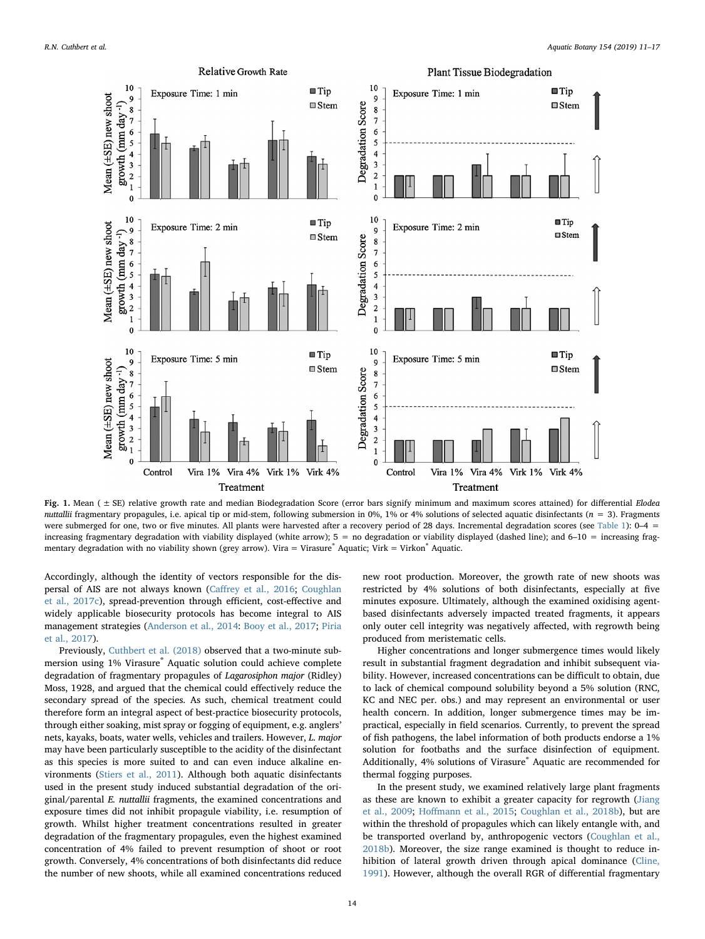<span id="page-3-0"></span>

Fig. 1. Mean (  $\pm$  SE) relative growth rate and median Biodegradation Score (error bars signify minimum and maximum scores attained) for differential Elodea nuttallii fragmentary propagules, i.e. apical tip or mid-stem, following submersion in 0%, 1% or 4% solutions of selected aquatic disinfectants ( $n = 3$ ). Fragments were submerged for one, two or five minutes. All plants were harvested after a recovery period of 28 days. Incremental degradation scores (see [Table 1](#page-2-0)): 0-4 = increasing fragmentary degradation with viability displayed (white arrow); 5 = no degradation or viability displayed (dashed line); and 6–10 = increasing fragmentary degradation with no viability shown (grey arrow). Vira = Virasure® Aquatic; Virk = Virkon® Aquatic.

Accordingly, although the identity of vectors responsible for the dispersal of AIS are not always known (Caff[rey et al., 2016](#page-5-29); [Coughlan](#page-5-11) [et al., 2017c\)](#page-5-11), spread-prevention through efficient, cost-effective and widely applicable biosecurity protocols has become integral to AIS management strategies ([Anderson et al., 2014](#page-5-30): [Booy et al., 2017](#page-5-5); [Piria](#page-6-0) [et al., 2017](#page-6-0)).

Previously, [Cuthbert et al. \(2018\)](#page-5-8) observed that a two-minute submersion using 1% Virasure® Aquatic solution could achieve complete degradation of fragmentary propagules of Lagarosiphon major (Ridley) Moss, 1928, and argued that the chemical could effectively reduce the secondary spread of the species. As such, chemical treatment could therefore form an integral aspect of best-practice biosecurity protocols, through either soaking, mist spray or fogging of equipment, e.g. anglers' nets, kayaks, boats, water wells, vehicles and trailers. However, L. major may have been particularly susceptible to the acidity of the disinfectant as this species is more suited to and can even induce alkaline environments ([Stiers et al., 2011\)](#page-6-12). Although both aquatic disinfectants used in the present study induced substantial degradation of the original/parental E. nuttallii fragments, the examined concentrations and exposure times did not inhibit propagule viability, i.e. resumption of growth. Whilst higher treatment concentrations resulted in greater degradation of the fragmentary propagules, even the highest examined concentration of 4% failed to prevent resumption of shoot or root growth. Conversely, 4% concentrations of both disinfectants did reduce the number of new shoots, while all examined concentrations reduced

new root production. Moreover, the growth rate of new shoots was restricted by 4% solutions of both disinfectants, especially at five minutes exposure. Ultimately, although the examined oxidising agentbased disinfectants adversely impacted treated fragments, it appears only outer cell integrity was negatively affected, with regrowth being produced from meristematic cells.

Higher concentrations and longer submergence times would likely result in substantial fragment degradation and inhibit subsequent viability. However, increased concentrations can be difficult to obtain, due to lack of chemical compound solubility beyond a 5% solution (RNC, KC and NEC per. obs.) and may represent an environmental or user health concern. In addition, longer submergence times may be impractical, especially in field scenarios. Currently, to prevent the spread of fish pathogens, the label information of both products endorse a 1% solution for footbaths and the surface disinfection of equipment. Additionally, 4% solutions of Virasure® Aquatic are recommended for thermal fogging purposes.

In the present study, we examined relatively large plant fragments as these are known to exhibit a greater capacity for regrowth ([Jiang](#page-5-31) [et al., 2009;](#page-5-31) Hoff[mann et al., 2015;](#page-5-23) [Coughlan et al., 2018b](#page-5-6)), but are within the threshold of propagules which can likely entangle with, and be transported overland by, anthropogenic vectors [\(Coughlan et al.,](#page-5-6) [2018b\)](#page-5-6). Moreover, the size range examined is thought to reduce inhibition of lateral growth driven through apical dominance [\(Cline,](#page-5-26) [1991\)](#page-5-26). However, although the overall RGR of differential fragmentary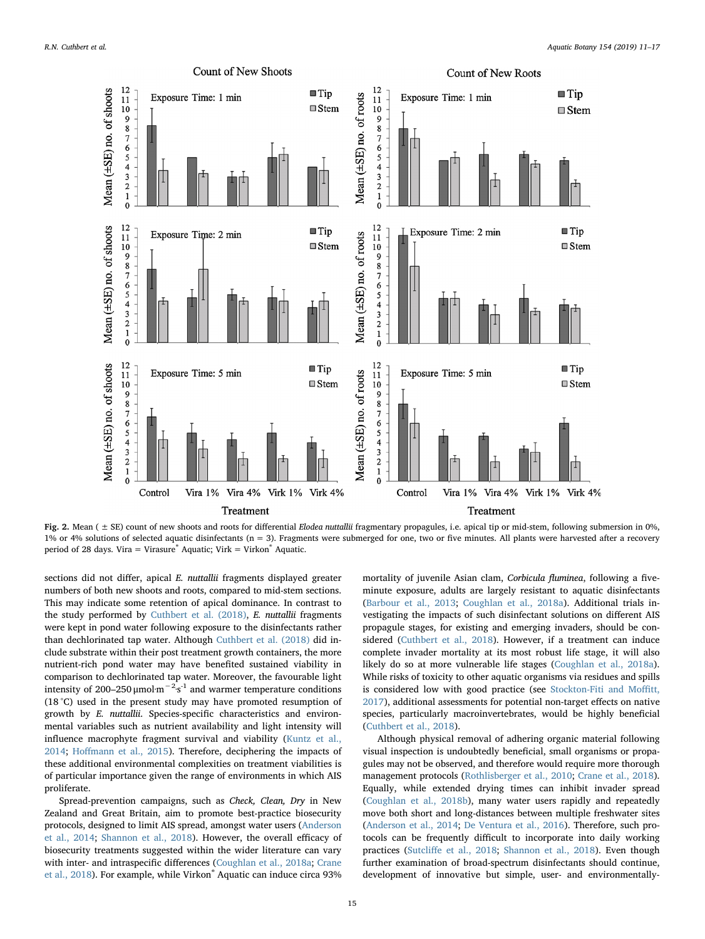<span id="page-4-0"></span>

Fig. 2. Mean (  $\pm$  SE) count of new shoots and roots for differential Elodea nuttallii fragmentary propagules, i.e. apical tip or mid-stem, following submersion in 0%, 1% or 4% solutions of selected aquatic disinfectants (n = 3). Fragments were submerged for one, two or five minutes. All plants were harvested after a recovery period of 28 days. Vira = Virasure $^*$  Aquatic; Virk = Virkon $^*$  Aquatic.

sections did not differ, apical E. nuttallii fragments displayed greater numbers of both new shoots and roots, compared to mid-stem sections. This may indicate some retention of apical dominance. In contrast to the study performed by [Cuthbert et al. \(2018\)](#page-5-8), E. nuttallii fragments were kept in pond water following exposure to the disinfectants rather than dechlorinated tap water. Although [Cuthbert et al. \(2018\)](#page-5-8) did include substrate within their post treatment growth containers, the more nutrient-rich pond water may have benefited sustained viability in comparison to dechlorinated tap water. Moreover, the favourable light intensity of 200–250  $\mu$ mol·m<sup>-2</sup>·s<sup>-1</sup> and warmer temperature conditions (18 °C) used in the present study may have promoted resumption of growth by E. nuttallii. Species-specific characteristics and environmental variables such as nutrient availability and light intensity will influence macrophyte fragment survival and viability [\(Kuntz et al.,](#page-6-13) [2014;](#page-6-13) Hoff[mann et al., 2015](#page-5-23)). Therefore, deciphering the impacts of these additional environmental complexities on treatment viabilities is of particular importance given the range of environments in which AIS proliferate.

Spread-prevention campaigns, such as Check, Clean, Dry in New Zealand and Great Britain, aim to promote best-practice biosecurity protocols, designed to limit AIS spread, amongst water users [\(Anderson](#page-5-30) [et al., 2014](#page-5-30); [Shannon et al., 2018](#page-6-5)). However, the overall efficacy of biosecurity treatments suggested within the wider literature can vary with inter- and intraspecific differences ([Coughlan et al., 2018a](#page-5-18); [Crane](#page-5-7) [et al., 2018](#page-5-7)). For example, while Virkon® Aquatic can induce circa 93% mortality of juvenile Asian clam, Corbicula fluminea, following a fiveminute exposure, adults are largely resistant to aquatic disinfectants ([Barbour et al., 2013](#page-5-15); [Coughlan et al., 2018a](#page-5-18)). Additional trials investigating the impacts of such disinfectant solutions on different AIS propagule stages, for existing and emerging invaders, should be considered ([Cuthbert et al., 2018\)](#page-5-8). However, if a treatment can induce complete invader mortality at its most robust life stage, it will also likely do so at more vulnerable life stages ([Coughlan et al., 2018a](#page-5-18)). While risks of toxicity to other aquatic organisms via residues and spills is considered low with good practice (see [Stockton-Fiti and Mo](#page-6-6)ffitt, [2017\)](#page-6-6), additional assessments for potential non-target effects on native species, particularly macroinvertebrates, would be highly beneficial ([Cuthbert et al., 2018\)](#page-5-8).

Although physical removal of adhering organic material following visual inspection is undoubtedly beneficial, small organisms or propagules may not be observed, and therefore would require more thorough management protocols ([Rothlisberger et al., 2010;](#page-6-3) [Crane et al., 2018](#page-5-7)). Equally, while extended drying times can inhibit invader spread ([Coughlan et al., 2018b](#page-5-6)), many water users rapidly and repeatedly move both short and long-distances between multiple freshwater sites ([Anderson et al., 2014](#page-5-30); [De Ventura et al., 2016\)](#page-5-32). Therefore, such protocols can be frequently difficult to incorporate into daily working practices (Sutcliff[e et al., 2018;](#page-6-4) [Shannon et al., 2018\)](#page-6-5). Even though further examination of broad-spectrum disinfectants should continue, development of innovative but simple, user- and environmentally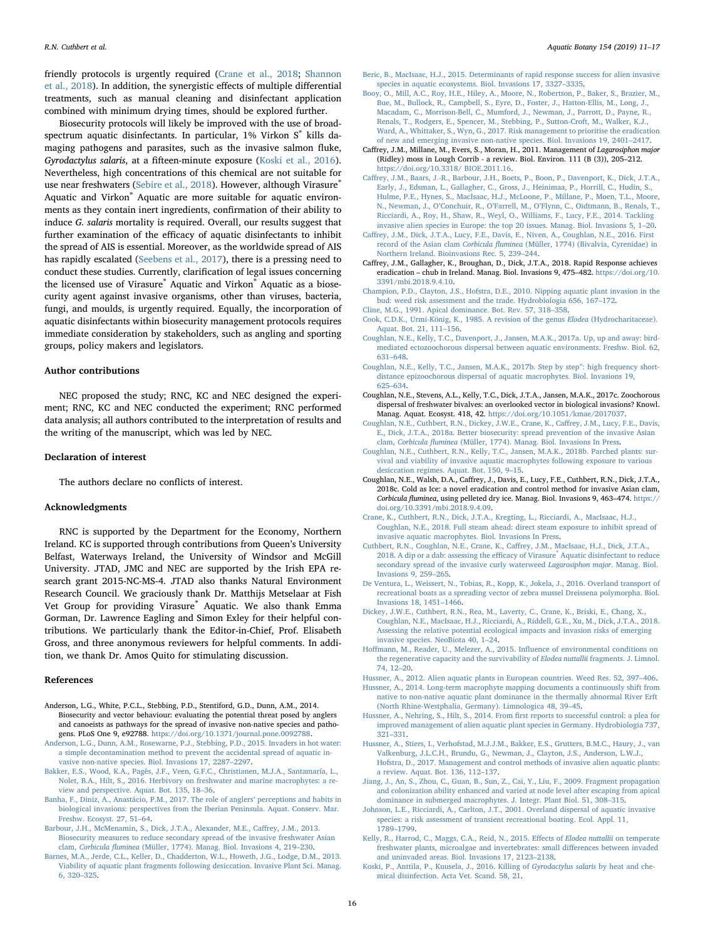friendly protocols is urgently required ([Crane et al., 2018](#page-5-7); [Shannon](#page-6-5) [et al., 2018](#page-6-5)). In addition, the synergistic effects of multiple differential treatments, such as manual cleaning and disinfectant application combined with minimum drying times, should be explored further.

Biosecurity protocols will likely be improved with the use of broadspectrum aquatic disinfectants. In particular, 1% Virkon S® kills damaging pathogens and parasites, such as the invasive salmon fluke, Gyrodactylus salaris, at a fifteen-minute exposure [\(Koski et al., 2016](#page-5-33)). Nevertheless, high concentrations of this chemical are not suitable for use near freshwaters [\(Sebire et al., 2018\)](#page-6-14). However, although Virasure® Aquatic and Virkon® Aquatic are more suitable for aquatic environments as they contain inert ingredients, confirmation of their ability to induce G. salaris mortality is required. Overall, our results suggest that further examination of the efficacy of aquatic disinfectants to inhibit the spread of AIS is essential. Moreover, as the worldwide spread of AIS has rapidly escalated [\(Seebens et al., 2017](#page-6-15)), there is a pressing need to conduct these studies. Currently, clarification of legal issues concerning the licensed use of Virasure<sup>®</sup> Aquatic and Virkon<sup>®</sup> Aquatic as a biosecurity agent against invasive organisms, other than viruses, bacteria, fungi, and moulds, is urgently required. Equally, the incorporation of aquatic disinfectants within biosecurity management protocols requires immediate consideration by stakeholders, such as angling and sporting groups, policy makers and legislators.

## Author contributions

NEC proposed the study; RNC, KC and NEC designed the experiment; RNC, KC and NEC conducted the experiment; RNC performed data analysis; all authors contributed to the interpretation of results and the writing of the manuscript, which was led by NEC.

# Declaration of interest

The authors declare no conflicts of interest.

### Acknowledgments

RNC is supported by the Department for the Economy, Northern Ireland. KC is supported through contributions from Queen's University Belfast, Waterways Ireland, the University of Windsor and McGill University. JTAD, JMC and NEC are supported by the Irish EPA research grant 2015-NC-MS-4. JTAD also thanks Natural Environment Research Council. We graciously thank Dr. Matthijs Metselaar at Fish Vet Group for providing Virasure® Aquatic. We also thank Emma Gorman, Dr. Lawrence Eagling and Simon Exley for their helpful contributions. We particularly thank the Editor-in-Chief, Prof. Elisabeth Gross, and three anonymous reviewers for helpful comments. In addition, we thank Dr. Amos Quito for stimulating discussion.

#### References

- <span id="page-5-30"></span>Anderson, L.G., White, P.C.L., Stebbing, P.D., Stentiford, G.D., Dunn, A.M., 2014. Biosecurity and vector behaviour: evaluating the potential threat posed by anglers and canoeists as pathways for the spread of invasive non-native species and pathogens. PLoS One 9, e92788. [https://doi.org/10.1371/journal.pone.0092788.](https://doi.org/10.1371/journal.pone.0092788)
- <span id="page-5-17"></span>[Anderson, L.G., Dunn, A.M., Rosewarne, P.J., Stebbing, P.D., 2015. Invaders in hot water:](http://refhub.elsevier.com/S0304-3770(18)30226-2/sbref0010) [a simple decontamination method to prevent the accidental spread of aquatic in](http://refhub.elsevier.com/S0304-3770(18)30226-2/sbref0010)[vasive non-native species. Biol. Invasions 17, 2287](http://refhub.elsevier.com/S0304-3770(18)30226-2/sbref0010)–2297.
- <span id="page-5-24"></span>[Bakker, E.S., Wood, K.A., Pagès, J.F., Veen, G.F.C., Christianen, M.J.A., Santamaría, L.,](http://refhub.elsevier.com/S0304-3770(18)30226-2/sbref0015) [Nolet, B.A., Hilt, S., 2016. Herbivory on freshwater and marine macrophytes: a re](http://refhub.elsevier.com/S0304-3770(18)30226-2/sbref0015)[view and perspective. Aquat. Bot. 135, 18](http://refhub.elsevier.com/S0304-3770(18)30226-2/sbref0015)–36.
- <span id="page-5-9"></span>[Banha, F., Diniz, A., Anastácio, P.M., 2017. The role of anglers](http://refhub.elsevier.com/S0304-3770(18)30226-2/sbref0020)' perceptions and habits in [biological invasions: perspectives from the Iberian Peninsula. Aquat. Conserv. Mar.](http://refhub.elsevier.com/S0304-3770(18)30226-2/sbref0020) [Freshw. Ecosyst. 27, 51](http://refhub.elsevier.com/S0304-3770(18)30226-2/sbref0020)–64.
- <span id="page-5-15"></span>[Barbour, J.H., McMenamin, S., Dick, J.T.A., Alexander, M.E., Ca](http://refhub.elsevier.com/S0304-3770(18)30226-2/sbref0025)ffrey, J.M., 2013. [Biosecurity measures to reduce secondary spread of the invasive freshwater Asian](http://refhub.elsevier.com/S0304-3770(18)30226-2/sbref0025) clam, Corbicula fluminea [\(Müller, 1774\). Manag. Biol. Invasions 4, 219](http://refhub.elsevier.com/S0304-3770(18)30226-2/sbref0025)–230.
- <span id="page-5-25"></span>[Barnes, M.A., Jerde, C.L., Keller, D., Chadderton, W.L., Howeth, J.G., Lodge, D.M., 2013.](http://refhub.elsevier.com/S0304-3770(18)30226-2/sbref0030) [Viability of aquatic plant fragments following desiccation. Invasive Plant Sci. Manag.](http://refhub.elsevier.com/S0304-3770(18)30226-2/sbref0030) [6, 320](http://refhub.elsevier.com/S0304-3770(18)30226-2/sbref0030)–325.
- <span id="page-5-13"></span>[Beric, B., MacIsaac, H.J., 2015. Determinants of rapid response success for alien invasive](http://refhub.elsevier.com/S0304-3770(18)30226-2/sbref0035) [species in aquatic ecosystems. Biol. Invasions 17, 3327](http://refhub.elsevier.com/S0304-3770(18)30226-2/sbref0035)–3335.
- <span id="page-5-5"></span>[Booy, O., Mill, A.C., Roy, H.E., Hiley, A., Moore, N., Robertson, P., Baker, S., Brazier, M.,](http://refhub.elsevier.com/S0304-3770(18)30226-2/sbref0040) [Bue, M., Bullock, R., Campbell, S., Eyre, D., Foster, J., Hatton-Ellis, M., Long, J.,](http://refhub.elsevier.com/S0304-3770(18)30226-2/sbref0040) [Macadam, C., Morrison-Bell, C., Mumford, J., Newman, J., Parrott, D., Payne, R.,](http://refhub.elsevier.com/S0304-3770(18)30226-2/sbref0040) [Renals, T., Rodgers, E., Spencer, M., Stebbing, P., Sutton-Croft, M., Walker, K.J.,](http://refhub.elsevier.com/S0304-3770(18)30226-2/sbref0040) [Ward, A., Whittaker, S., Wyn, G., 2017. Risk management to prioritise the eradication](http://refhub.elsevier.com/S0304-3770(18)30226-2/sbref0040) [of new and emerging invasive non-native species. Biol. Invasions 19, 2401](http://refhub.elsevier.com/S0304-3770(18)30226-2/sbref0040)–2417.
- <span id="page-5-2"></span>Caffrey, J.M., Millane, M., Evers, S., Moran, H., 2011. Management of Lagarosiphon major (Ridley) moss in Lough Corrib - a review. Biol. Environ. 111 (B (3)), 205–212. [https://doi.org/10.3318/ BIOE.2011.16.](https://doi.org/10.3318/ BIOE.2011.16)
- <span id="page-5-0"></span>Caff[rey, J.M., Baars, J.-R., Barbour, J.H., Boets, P., Boon, P., Davenport, K., Dick, J.T.A.,](http://refhub.elsevier.com/S0304-3770(18)30226-2/sbref0050) [Early, J., Edsman, L., Gallagher, C., Gross, J., Heinimaa, P., Horrill, C., Hudin, S.,](http://refhub.elsevier.com/S0304-3770(18)30226-2/sbref0050) [Hulme, P.E., Hynes, S., MacIsaac, H.J., McLoone, P., Millane, P., Moen, T.L., Moore,](http://refhub.elsevier.com/S0304-3770(18)30226-2/sbref0050) N., Newman, J., O'Conchuir, R., O'Farrell, M., O'[Flynn, C., Oidtmann, B., Renals, T.,](http://refhub.elsevier.com/S0304-3770(18)30226-2/sbref0050) [Ricciardi, A., Roy, H., Shaw, R., Weyl, O., Williams, F., Lucy, F.E., 2014. Tackling](http://refhub.elsevier.com/S0304-3770(18)30226-2/sbref0050) [invasive alien species in Europe: the top 20 issues. Manag. Biol. Invasions 5, 1](http://refhub.elsevier.com/S0304-3770(18)30226-2/sbref0050)–20.
- <span id="page-5-29"></span>Caff[rey, J.M., Dick, J.T.A., Lucy, F.E., Davis, E., Niven, A., Coughlan, N.E., 2016. First](http://refhub.elsevier.com/S0304-3770(18)30226-2/sbref0055) record of the Asian clam Corbicula fluminea [\(Müller, 1774\) \(Bivalvia, Cyrenidae\) in](http://refhub.elsevier.com/S0304-3770(18)30226-2/sbref0055) [Northern Ireland. Bioinvasions Rec. 5, 239](http://refhub.elsevier.com/S0304-3770(18)30226-2/sbref0055)–244.
- <span id="page-5-14"></span>Caffrey, J.M., Gallagher, K., Broughan, D., Dick, J.T.A., 2018. Rapid Response achieves eradication – chub in Ireland. Manag. Biol. Invasions 9, 475–482. [https://doi.org/10.](https://doi.org/10.3391/mbi.2018.9.4.10) [3391/mbi.2018.9.4.10.](https://doi.org/10.3391/mbi.2018.9.4.10)
- <span id="page-5-20"></span>Champion, [P.D., Clayton, J.S., Hofstra, D.E., 2010. Nipping aquatic plant invasion in the](http://refhub.elsevier.com/S0304-3770(18)30226-2/sbref0065) [bud: weed risk assessment and the trade. Hydrobiologia 656, 167](http://refhub.elsevier.com/S0304-3770(18)30226-2/sbref0065)–172.
- <span id="page-5-26"></span><span id="page-5-19"></span>[Cline, M.G., 1991. Apical dominance. Bot. Rev. 57, 318](http://refhub.elsevier.com/S0304-3770(18)30226-2/sbref0070)–358. [Cook, C.D.K., Urmi-König, K., 1985. A revision of the genus](http://refhub.elsevier.com/S0304-3770(18)30226-2/sbref0075) Elodea (Hydrocharitaceae). [Aquat. Bot. 21, 111](http://refhub.elsevier.com/S0304-3770(18)30226-2/sbref0075)–156.
- <span id="page-5-10"></span>[Coughlan, N.E., Kelly, T.C., Davenport, J., Jansen, M.A.K., 2017a. Up, up and away: bird](http://refhub.elsevier.com/S0304-3770(18)30226-2/sbref0080)[mediated ectozoochorous dispersal between aquatic environments. Freshw. Biol. 62,](http://refhub.elsevier.com/S0304-3770(18)30226-2/sbref0080) 631–[648](http://refhub.elsevier.com/S0304-3770(18)30226-2/sbref0080).
- <span id="page-5-16"></span>[Coughlan, N.E., Kelly, T.C., Jansen, M.A.K., 2017b. Step by step](http://refhub.elsevier.com/S0304-3770(18)30226-2/sbref0085)": high frequency short[distance epizoochorous dispersal of aquatic macrophytes. Biol. Invasions 19,](http://refhub.elsevier.com/S0304-3770(18)30226-2/sbref0085) 625–[634](http://refhub.elsevier.com/S0304-3770(18)30226-2/sbref0085).
- <span id="page-5-11"></span>Coughlan, N.E., Stevens, A.L., Kelly, T.C., Dick, J.T.A., Jansen, M.A.K., 2017c. Zoochorous dispersal of freshwater bivalves: an overlooked vector in biological invasions? Knowl. Manag. Aquat. Ecosyst. 418, 42. [https://doi.org/10.1051/kmae/2017037.](https://doi.org/10.1051/kmae/2017037)
- <span id="page-5-18"></span>[Coughlan, N.E., Cuthbert, R.N., Dickey, J.W.E., Crane, K., Ca](http://refhub.elsevier.com/S0304-3770(18)30226-2/sbref0095)ffrey, J.M., Lucy, F.E., Davis, [E., Dick, J.T.A., 2018a. Better biosecurity: spread prevention of the invasive Asian](http://refhub.elsevier.com/S0304-3770(18)30226-2/sbref0095) clam, Corbicula fluminea [\(Müller, 1774\). Manag. Biol. Invasions In Press](http://refhub.elsevier.com/S0304-3770(18)30226-2/sbref0095).
- <span id="page-5-6"></span>[Coughlan, N.E., Cuthbert, R.N., Kelly, T.C., Jansen, M.A.K., 2018b. Parched plants: sur](http://refhub.elsevier.com/S0304-3770(18)30226-2/sbref0100)[vival and viability of invasive aquatic macrophytes following exposure to various](http://refhub.elsevier.com/S0304-3770(18)30226-2/sbref0100) [desiccation regimes. Aquat. Bot. 150, 9](http://refhub.elsevier.com/S0304-3770(18)30226-2/sbref0100)–15.
- <span id="page-5-4"></span>Coughlan, N.E., Walsh, D.A., Caffrey, J., Davis, E., Lucy, F.E., Cuthbert, R.N., Dick, J.T.A., 2018c. Cold as Ice: a novel eradication and control method for invasive Asian clam, Corbicula fluminea, using pelleted dry ice. Manag. Biol. Invasions 9, 463–474. [https://](https://doi.org/10.3391/mbi.2018.9.4.09) [doi.org/10.3391/mbi.2018.9.4.09.](https://doi.org/10.3391/mbi.2018.9.4.09)
- <span id="page-5-7"></span>[Crane, K., Cuthbert, R.N., Dick, J.T.A., Kregting, L., Ricciardi, A., MacIsaac, H.J.,](http://refhub.elsevier.com/S0304-3770(18)30226-2/sbref0110) [Coughlan, N.E., 2018. Full steam ahead: direct steam exposure to inhibit spread of](http://refhub.elsevier.com/S0304-3770(18)30226-2/sbref0110) [invasive aquatic macrophytes. Biol. Invasions In Press](http://refhub.elsevier.com/S0304-3770(18)30226-2/sbref0110).
- <span id="page-5-8"></span>[Cuthbert, R.N., Coughlan, N.E., Crane, K., Ca](http://refhub.elsevier.com/S0304-3770(18)30226-2/sbref0115)ffrey, J.M., MacIsaac, H.J., Dick, J.T.A., [2018. A dip or a dab: assessing the e](http://refhub.elsevier.com/S0304-3770(18)30226-2/sbref0115)fficacy of Virasure® Aquatic disinfectant to reduce [secondary spread of the invasive curly waterweed](http://refhub.elsevier.com/S0304-3770(18)30226-2/sbref0115) Lagarosiphon major. Manag. Biol. [Invasions 9, 259](http://refhub.elsevier.com/S0304-3770(18)30226-2/sbref0115)–265.
- <span id="page-5-32"></span>[De Ventura, L., Weissert, N., Tobias, R., Kopp, K., Jokela, J., 2016. Overland transport of](http://refhub.elsevier.com/S0304-3770(18)30226-2/sbref0120) [recreational boats as a spreading vector of zebra mussel Dreissena polymorpha. Biol.](http://refhub.elsevier.com/S0304-3770(18)30226-2/sbref0120) [Invasions 18, 1451](http://refhub.elsevier.com/S0304-3770(18)30226-2/sbref0120)–1466.
- <span id="page-5-28"></span>[Dickey, J.W.E., Cuthbert, R.N., Rea, M., Laverty, C., Crane, K., Briski, E., Chang, X.,](http://refhub.elsevier.com/S0304-3770(18)30226-2/sbref0125) [Coughlan, N.E., MacIsaac, H.J., Ricciardi, A., Riddell, G.E., Xu, M., Dick, J.T.A., 2018.](http://refhub.elsevier.com/S0304-3770(18)30226-2/sbref0125) [Assessing the relative potential ecological impacts and invasion risks of emerging](http://refhub.elsevier.com/S0304-3770(18)30226-2/sbref0125) [invasive species. NeoBiota 40, 1](http://refhub.elsevier.com/S0304-3770(18)30226-2/sbref0125)–24.
- <span id="page-5-23"></span>Hoff[mann, M., Reader, U., Melezer, A., 2015. In](http://refhub.elsevier.com/S0304-3770(18)30226-2/sbref0130)fluence of environmental conditions on [the regenerative capacity and the survivability of](http://refhub.elsevier.com/S0304-3770(18)30226-2/sbref0130) Elodea nuttallii fragments. J. Limnol. [74, 12](http://refhub.elsevier.com/S0304-3770(18)30226-2/sbref0130)–20.
- <span id="page-5-22"></span><span id="page-5-1"></span>[Hussner, A., 2012. Alien aquatic plants in European countries. Weed Res. 52, 397](http://refhub.elsevier.com/S0304-3770(18)30226-2/sbref0135)–406. [Hussner, A., 2014. Long-term macrophyte mapping documents a continuously shift from](http://refhub.elsevier.com/S0304-3770(18)30226-2/sbref0140)
- [native to non-native aquatic plant dominance in the thermally abnormal River Erft](http://refhub.elsevier.com/S0304-3770(18)30226-2/sbref0140) [\(North Rhine-Westphalia, Germany\). Limnologica 48, 39](http://refhub.elsevier.com/S0304-3770(18)30226-2/sbref0140)–45. [Hussner, A., Nehring, S., Hilt, S., 2014. From](http://refhub.elsevier.com/S0304-3770(18)30226-2/sbref0145) first reports to successful control: a plea for
- <span id="page-5-12"></span>[improved management of alien aquatic plant species in Germany. Hydrobiologia 737,](http://refhub.elsevier.com/S0304-3770(18)30226-2/sbref0145) 321–[331](http://refhub.elsevier.com/S0304-3770(18)30226-2/sbref0145).
- <span id="page-5-3"></span>[Hussner, A., Stiers, I., Verhofstad, M.J.J.M., Bakker, E.S., Grutters, B.M.C., Haury, J., van](http://refhub.elsevier.com/S0304-3770(18)30226-2/sbref0150) [Valkenburg, J.L.C.H., Brundu, G., Newman, J., Clayton, J.S., Anderson, L.W.J.,](http://refhub.elsevier.com/S0304-3770(18)30226-2/sbref0150) [Hofstra, D., 2017. Management and control methods of invasive alien aquatic plants:](http://refhub.elsevier.com/S0304-3770(18)30226-2/sbref0150) [a review. Aquat. Bot. 136, 112](http://refhub.elsevier.com/S0304-3770(18)30226-2/sbref0150)–137.
- <span id="page-5-31"></span>[Jiang, J., An, S., Zhou, C., Guan, B., Sun, Z., Cai, Y., Liu, F., 2009. Fragment propagation](http://refhub.elsevier.com/S0304-3770(18)30226-2/sbref0155) [and colonization ability enhanced and varied at node level after escaping from apical](http://refhub.elsevier.com/S0304-3770(18)30226-2/sbref0155) [dominance in submerged macrophytes. J. Integr. Plant Biol. 51, 308](http://refhub.elsevier.com/S0304-3770(18)30226-2/sbref0155)–315.
- <span id="page-5-27"></span>[Johnson, L.E., Ricciardi, A., Carlton, J.T., 2001. Overland dispersal of aquatic invasive](http://refhub.elsevier.com/S0304-3770(18)30226-2/sbref0160) [species: a risk assessment of transient recreational boating. Ecol. Appl. 11,](http://refhub.elsevier.com/S0304-3770(18)30226-2/sbref0160) 1789–[1799](http://refhub.elsevier.com/S0304-3770(18)30226-2/sbref0160).
- <span id="page-5-21"></span>[Kelly, R., Harrod, C., Maggs, C.A., Reid, N., 2015. E](http://refhub.elsevier.com/S0304-3770(18)30226-2/sbref0165)ffects of Elodea nuttallii on temperate [freshwater plants, microalgae and invertebrates: small di](http://refhub.elsevier.com/S0304-3770(18)30226-2/sbref0165)fferences between invaded [and uninvaded areas. Biol. Invasions 17, 2123](http://refhub.elsevier.com/S0304-3770(18)30226-2/sbref0165)–2138.
- <span id="page-5-33"></span>[Koski, P., Anttila, P., Kuusela, J., 2016. Killing of](http://refhub.elsevier.com/S0304-3770(18)30226-2/sbref0170) Gyrodactylus salaris by heat and che[mical disinfection. Acta Vet. Scand. 58, 21](http://refhub.elsevier.com/S0304-3770(18)30226-2/sbref0170).